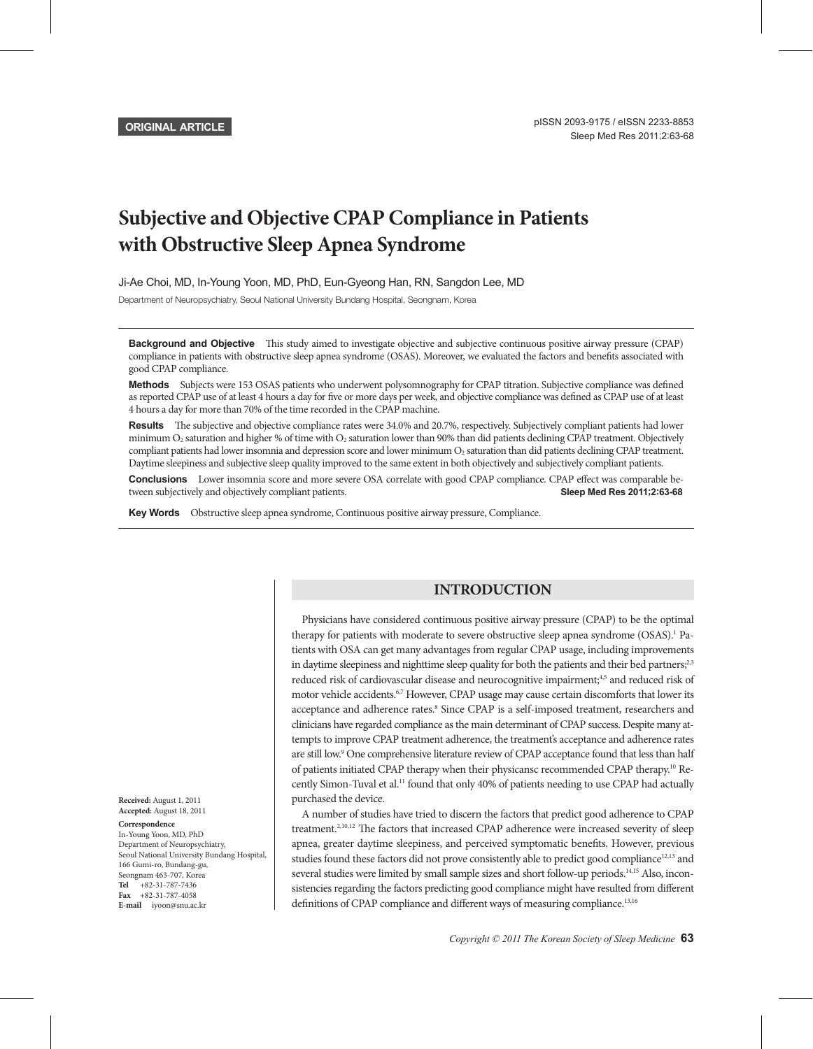**ORIGINAL ARTICLE**

# **Subjective and Objective CPAP Compliance in Patients with Obstructive Sleep Apnea Syndrome**

Ji-Ae Choi, MD, In-Young Yoon, MD, PhD, Eun-Gyeong Han, RN, Sangdon Lee, MD

Department of Neuropsychiatry, Seoul National University Bundang Hospital, Seongnam, Korea

**Background and Objective** This study aimed to investigate objective and subjective continuous positive airway pressure (CPAP) compliance in patients with obstructive sleep apnea syndrome (OSAS). Moreover, we evaluated the factors and benefits associated with good CPAP compliance.

Methods Subjects were 153 OSAS patients who underwent polysomnography for CPAP titration. Subjective compliance was defined as reported CPAP use of at least 4 hours a day for five or more days per week, and objective compliance was defined as CPAP use of at least 4 hours a day for more than 70% of the time recorded in the CPAP machine.

Results The subjective and objective compliance rates were 34.0% and 20.7%, respectively. Subjectively compliant patients had lower minimum O<sub>2</sub> saturation and higher % of time with O<sub>2</sub> saturation lower than 90% than did patients declining CPAP treatment. Objectively compliant patients had lower insomnia and depression score and lower minimum O<sub>2</sub> saturation than did patients declining CPAP treatment. Daytime sleepiness and subjective sleep quality improved to the same extent in both objectively and subjectively compliant patients.

**Conclusions** Lower insomnia score and more severe OSA correlate with good CPAP compliance. CPAP effect was comparable between subjectively and objectively compliant patients. **Sleep Med Res 2011;2:63-68**

Key Words Obstructive sleep apnea syndrome, Continuous positive airway pressure, Compliance.

## **INTRODUCTION**

Physicians have considered continuous positive airway pressure (CPAP) to be the optimal therapy for patients with moderate to severe obstructive sleep apnea syndrome (OSAS).<sup>1</sup> Patients with OSA can get many advantages from regular CPAP usage, including improvements in daytime sleepiness and nighttime sleep quality for both the patients and their bed partners;<sup>2,3</sup> reduced risk of cardiovascular disease and neurocognitive impairment;<sup>4,5</sup> and reduced risk of motor vehicle accidents.<sup>6,7</sup> However, CPAP usage may cause certain discomforts that lower its acceptance and adherence rates.<sup>8</sup> Since CPAP is a self-imposed treatment, researchers and clinicians have regarded compliance as the main determinant of CPAP success. Despite many attempts to improve CPAP treatment adherence, the treatment's acceptance and adherence rates are still low.<sup>9</sup> One comprehensive literature review of CPAP acceptance found that less than half of patients initiated CPAP therapy when their physicansc recommended CPAP therapy.10 Recently Simon-Tuval et al.<sup>11</sup> found that only 40% of patients needing to use CPAP had actually purchased the device.

A number of studies have tried to discern the factors that predict good adherence to CPAP treatment.<sup>2,10,12</sup> The factors that increased CPAP adherence were increased severity of sleep apnea, greater daytime sleepiness, and perceived symptomatic benefits. However, previous studies found these factors did not prove consistently able to predict good compliance<sup>12,13</sup> and several studies were limited by small sample sizes and short follow-up periods.<sup>14,15</sup> Also, inconsistencies regarding the factors predicting good compliance might have resulted from different definitions of CPAP compliance and different ways of measuring compliance.<sup>13,16</sup>

**Received:** August 1, 2011 **Accepted:** August 18, 2011 **Correspondence** In-Young Yoon, MD, PhD Department of Neuropsychiatry, Seoul National University Bundang Hospital, 166 Gumi-ro, Bundang-gu, Seongnam 463-707, Korea **Tel**  +82-31-787-7436 **Fax**  +82-31-787-4058 **E-mail**  iyoon@snu.ac.kr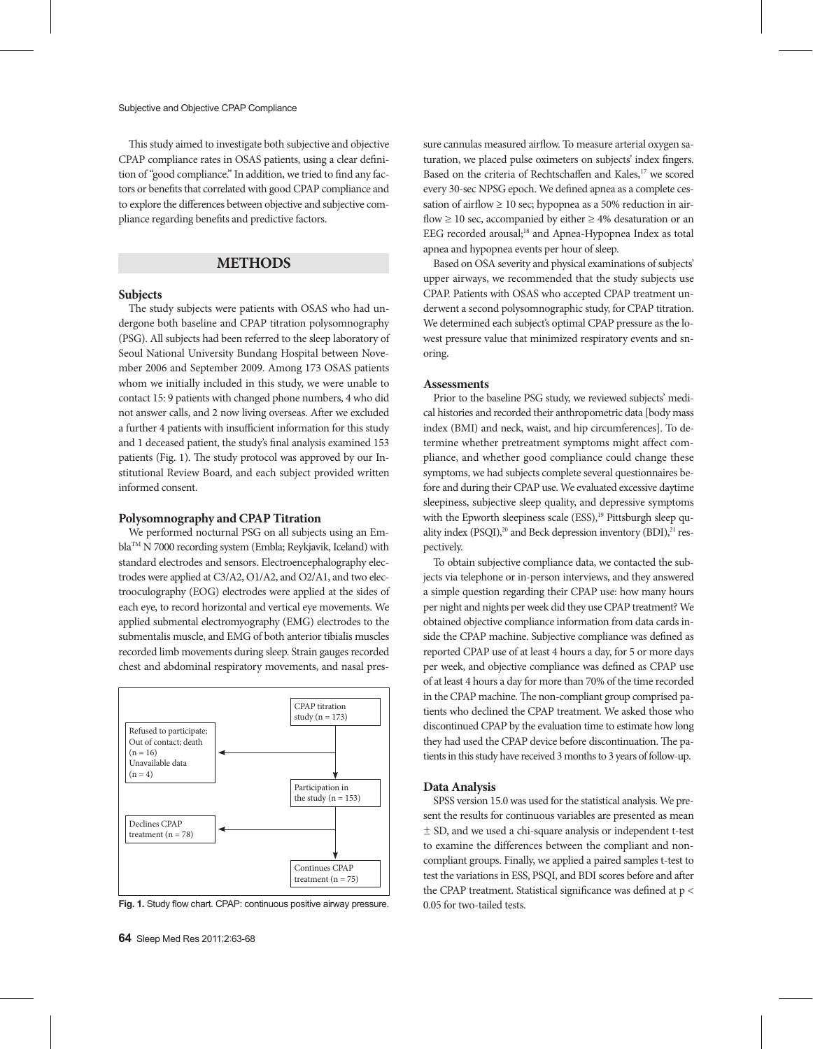This study aimed to investigate both subjective and objective CPAP compliance rates in OSAS patients, using a clear definition of "good compliance." In addition, we tried to find any factors or benefits that correlated with good CPAP compliance and to explore the differences between objective and subjective compliance regarding benefits and predictive factors.

## **METHODS**

## **Subjects**

The study subjects were patients with OSAS who had undergone both baseline and CPAP titration polysomnography (PSG). All subjects had been referred to the sleep laboratory of Seoul National University Bundang Hospital between November 2006 and September 2009. Among 173 OSAS patients whom we initially included in this study, we were unable to contact 15: 9 patients with changed phone numbers, 4 who did not answer calls, and 2 now living overseas. After we excluded a further 4 patients with insufficient information for this study and 1 deceased patient, the study's final analysis examined 153 patients (Fig. 1). The study protocol was approved by our Institutional Review Board, and each subject provided written informed consent.

#### **Polysomnography and CPAP Titration**

We performed nocturnal PSG on all subjects using an EmblaTM N 7000 recording system (Embla; Reykjavik, Iceland) with standard electrodes and sensors. Electroencephalography electrodes were applied at C3/A2, O1/A2, and O2/A1, and two electrooculography (EOG) electrodes were applied at the sides of each eye, to record horizontal and vertical eye movements. We applied submental electromyography (EMG) electrodes to the submentalis muscle, and EMG of both anterior tibialis muscles recorded limb movements during sleep. Strain gauges recorded chest and abdominal respiratory movements, and nasal pres-





sure cannulas measured airflow. To measure arterial oxygen saturation, we placed pulse oximeters on subjects' index fingers. Based on the criteria of Rechtschaffen and Kales,<sup>17</sup> we scored every 30-sec NPSG epoch. We defined apnea as a complete cessation of airflow  $\geq 10$  sec; hypopnea as a 50% reduction in airflow  $\geq$  10 sec, accompanied by either  $\geq$  4% desaturation or an EEG recorded arousal;<sup>18</sup> and Apnea-Hypopnea Index as total apnea and hypopnea events per hour of sleep.

Based on OSA severity and physical examinations of subjects' upper airways, we recommended that the study subjects use CPAP. Patients with OSAS who accepted CPAP treatment underwent a second polysomnographic study, for CPAP titration. We determined each subject's optimal CPAP pressure as the lowest pressure value that minimized respiratory events and snoring.

## **Assessments**

Prior to the baseline PSG study, we reviewed subjects' medical histories and recorded their anthropometric data [body mass index (BMI) and neck, waist, and hip circumferences]. To determine whether pretreatment symptoms might affect compliance, and whether good compliance could change these symptoms, we had subjects complete several questionnaires before and during their CPAP use. We evaluated excessive daytime sleepiness, subjective sleep quality, and depressive symptoms with the Epworth sleepiness scale (ESS),<sup>19</sup> Pittsburgh sleep quality index (PSQI),<sup>20</sup> and Beck depression inventory (BDI),<sup>21</sup> respectively.

To obtain subjective compliance data, we contacted the subjects via telephone or in-person interviews, and they answered a simple question regarding their CPAP use: how many hours per night and nights per week did they use CPAP treatment? We obtained objective compliance information from data cards inside the CPAP machine. Subjective compliance was defined as reported CPAP use of at least 4 hours a day, for 5 or more days per week, and objective compliance was defined as CPAP use of at least 4 hours a day for more than 70% of the time recorded in the CPAP machine. The non-compliant group comprised patients who declined the CPAP treatment. We asked those who discontinued CPAP by the evaluation time to estimate how long they had used the CPAP device before discontinuation. The patients in this study have received 3 months to 3 years of follow-up.

#### **Data Analysis**

SPSS version 15.0 was used for the statistical analysis. We present the results for continuous variables are presented as mean ± SD, and we used a chi-square analysis or independent t-test to examine the differences between the compliant and noncompliant groups. Finally, we applied a paired samples t-test to test the variations in ESS, PSQI, and BDI scores before and after the CPAP treatment. Statistical significance was defined at p < 0.05 for two-tailed tests.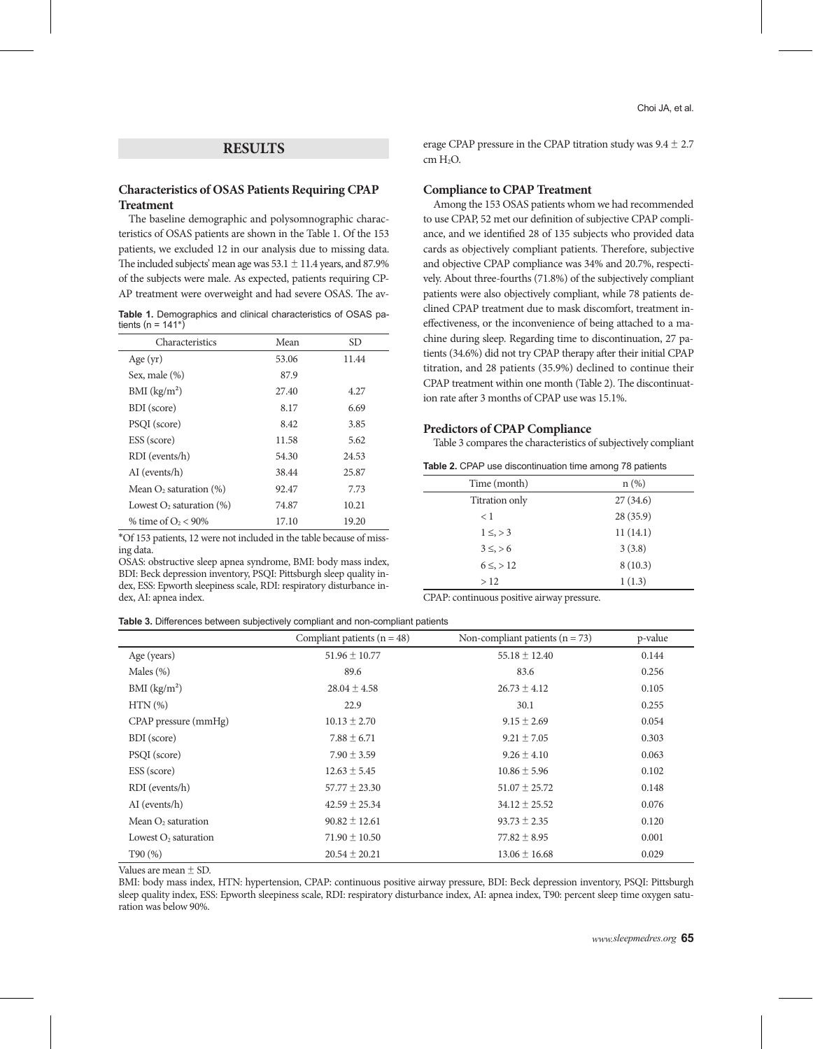## **RESULTS**

## **Characteristics of OSAS Patients Requiring CPAP Treatment**

The baseline demographic and polysomnographic characteristics of OSAS patients are shown in the Table 1. Of the 153 patients, we excluded 12 in our analysis due to missing data. The included subjects' mean age was  $53.1 \pm 11.4$  years, and  $87.9\%$ of the subjects were male. As expected, patients requiring CP-AP treatment were overweight and had severe OSAS. The av-

**Table 1.** Demographics and clinical characteristics of OSAS patients (n =  $141^{\circ}$ )

| Characteristics                | Mean  | SD.   |
|--------------------------------|-------|-------|
| Age $(yr)$                     | 53.06 | 11.44 |
| Sex, male (%)                  | 87.9  |       |
| BMI (kg/m <sup>2</sup> )       | 27.40 | 4.27  |
| BDI (score)                    | 8.17  | 6.69  |
| PSQI (score)                   | 8.42  | 3.85  |
| ESS (score)                    | 11.58 | 5.62  |
| RDI (events/h)                 | 54.30 | 24.53 |
| AI (events/h)                  | 38.44 | 25.87 |
| Mean $O_2$ saturation $(\%)$   | 92.47 | 7.73  |
| Lowest $O_2$ saturation $(\%)$ | 74.87 | 10.21 |
| % time of $O_2$ < 90%          | 17.10 | 19.20 |

\*Of 153 patients, 12 were not included in the table because of missing data.

OSAS: obstructive sleep apnea syndrome, BMI: body mass index, BDI: Beck depression inventory, PSQI: Pittsburgh sleep quality index, ESS: Epworth sleepiness scale, RDI: respiratory disturbance index, AI: apnea index.

**Table 3.** Differences between subjectively compliant and non-compliant patients

erage CPAP pressure in the CPAP titration study was  $9.4 \pm 2.7$ cm H<sub>2</sub>O.

#### **Compliance to CPAP Treatment**

Among the 153 OSAS patients whom we had recommended to use CPAP, 52 met our definition of subjective CPAP compliance, and we identified 28 of 135 subjects who provided data cards as objectively compliant patients. Therefore, subjective and objective CPAP compliance was 34% and 20.7%, respectively. About three-fourths (71.8%) of the subjectively compliant patients were also objectively compliant, while 78 patients declined CPAP treatment due to mask discomfort, treatment ineffectiveness, or the inconvenience of being attached to a machine during sleep. Regarding time to discontinuation, 27 patients (34.6%) did not try CPAP therapy after their initial CPAP titration, and 28 patients (35.9%) declined to continue their CPAP treatment within one month (Table 2). The discontinuation rate after 3 months of CPAP use was 15.1%.

#### **Predictors of CPAP Compliance**

Table 3 compares the characteristics of subjectively compliant

| Table 2. CPAP use discontinuation time among 78 patients |  |  |  |
|----------------------------------------------------------|--|--|--|
|----------------------------------------------------------|--|--|--|

| Time (month)    | $n (\%)$ |
|-----------------|----------|
| Titration only  | 27(34.6) |
| < 1             | 28(35.9) |
| $1 \leq z > 3$  | 11(14.1) |
| $3 \leq z > 6$  | 3(3.8)   |
| $6 \leq z > 12$ | 8(10.3)  |
| >12             | 1(1.3)   |

CPAP: continuous positive airway pressure.

|                          | Compliant patients ( $n = 48$ ) | Non-compliant patients $(n = 73)$ | p-value |
|--------------------------|---------------------------------|-----------------------------------|---------|
| Age (years)              | $51.96 \pm 10.77$               | $55.18 \pm 12.40$                 | 0.144   |
| Males $(\%)$             | 89.6                            | 83.6                              | 0.256   |
| BMI (kg/m <sup>2</sup> ) | $28.04 \pm 4.58$                | $26.73 \pm 4.12$                  | 0.105   |
| $HTN(\% )$               | 22.9                            | 30.1                              | 0.255   |
| CPAP pressure (mmHg)     | $10.13 \pm 2.70$                | $9.15 \pm 2.69$                   | 0.054   |
| BDI (score)              | $7.88 \pm 6.71$                 | $9.21 \pm 7.05$                   | 0.303   |
| PSQI (score)             | $7.90 \pm 3.59$                 | $9.26 \pm 4.10$                   | 0.063   |
| ESS (score)              | $12.63 \pm 5.45$                | $10.86 \pm 5.96$                  | 0.102   |
| RDI (events/h)           | $57.77 \pm 23.30$               | $51.07 \pm 25.72$                 | 0.148   |
| AI (events/h)            | $42.59 \pm 25.34$               | $34.12 \pm 25.52$                 | 0.076   |
| Mean $O_2$ saturation    | $90.82 \pm 12.61$               | $93.73 \pm 2.35$                  | 0.120   |
| Lowest $O2$ saturation   | $71.90 \pm 10.50$               | $77.82 \pm 8.95$                  | 0.001   |
| T90(%)                   | $20.54 \pm 20.21$               | $13.06 \pm 16.68$                 | 0.029   |

Values are mean ± SD.

BMI: body mass index, HTN: hypertension, CPAP: continuous positive airway pressure, BDI: Beck depression inventory, PSQI: Pittsburgh sleep quality index, ESS: Epworth sleepiness scale, RDI: respiratory disturbance index, AI: apnea index, T90: percent sleep time oxygen saturation was below 90%.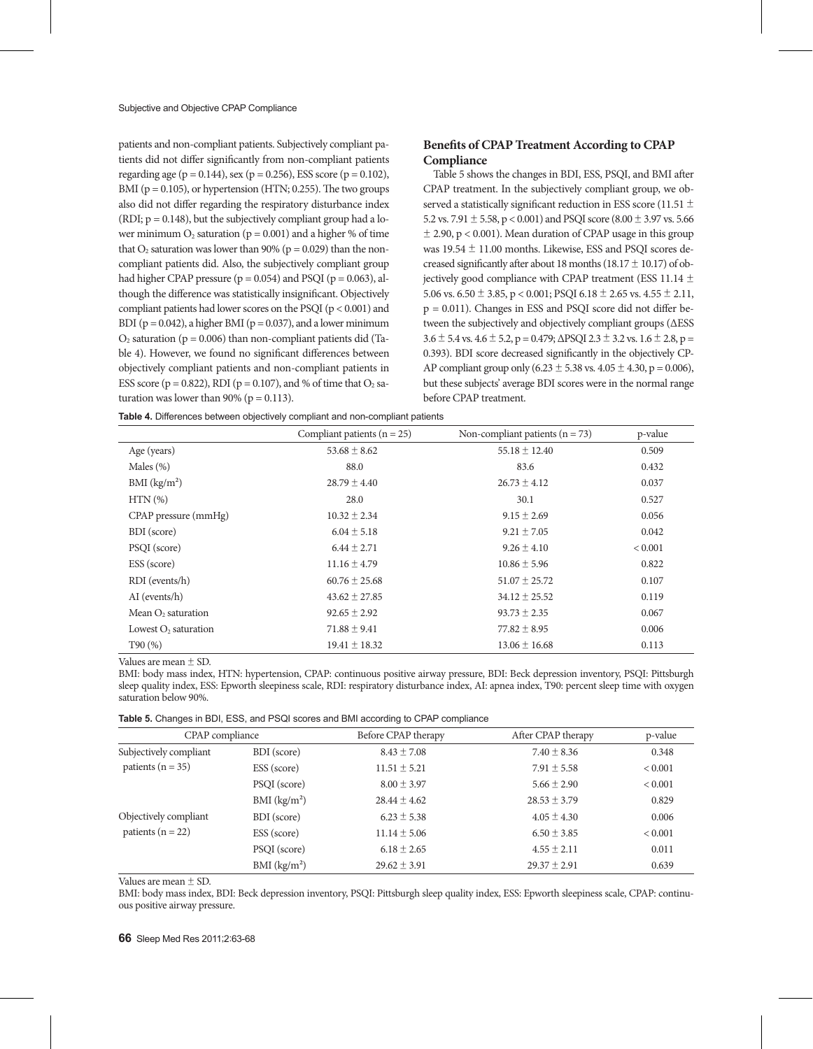patients and non-compliant patients. Subjectively compliant patients did not differ significantly from non-compliant patients regarding age ( $p = 0.144$ ), sex ( $p = 0.256$ ), ESS score ( $p = 0.102$ ), BMI ( $p = 0.105$ ), or hypertension (HTN; 0.255). The two groups also did not differ regarding the respiratory disturbance index (RDI;  $p = 0.148$ ), but the subjectively compliant group had a lower minimum  $O_2$  saturation ( $p = 0.001$ ) and a higher % of time that  $O_2$  saturation was lower than 90% ( $p = 0.029$ ) than the noncompliant patients did. Also, the subjectively compliant group had higher CPAP pressure ( $p = 0.054$ ) and PSQI ( $p = 0.063$ ), although the difference was statistically insignificant. Objectively compliant patients had lower scores on the PSQI (p < 0.001) and BDI ( $p = 0.042$ ), a higher BMI ( $p = 0.037$ ), and a lower minimum  $O_2$  saturation ( $p = 0.006$ ) than non-compliant patients did (Table 4). However, we found no significant differences between objectively compliant patients and non-compliant patients in ESS score ( $p = 0.822$ ), RDI ( $p = 0.107$ ), and % of time that  $O_2$  saturation was lower than 90% ( $p = 0.113$ ).

## **Benefits of CPAP Treatment According to CPAP Compliance**

Table 5 shows the changes in BDI, ESS, PSQI, and BMI after CPAP treatment. In the subjectively compliant group, we observed a statistically significant reduction in ESS score (11.51  $\pm$ 5.2 vs. 7.91  $\pm$  5.58, p < 0.001) and PSQI score (8.00  $\pm$  3.97 vs. 5.66  $\pm$  2.90, p < 0.001). Mean duration of CPAP usage in this group was 19.54 ± 11.00 months. Likewise, ESS and PSQI scores decreased significantly after about 18 months (18.17  $\pm$  10.17) of objectively good compliance with CPAP treatment (ESS 11.14 ± 5.06 vs.  $6.50 \pm 3.85$ , p < 0.001; PSQI  $6.18 \pm 2.65$  vs.  $4.55 \pm 2.11$ , p = 0.011). Changes in ESS and PSQI score did not differ between the subjectively and objectively compliant groups (ΔESS  $3.6 \pm 5.4$  vs.  $4.6 \pm 5.2$ , p = 0.479;  $\triangle$ PSQI 2.3  $\pm$  3.2 vs. 1.6  $\pm$  2.8, p = 0.393). BDI score decreased significantly in the objectively CP-AP compliant group only (6.23  $\pm$  5.38 vs. 4.05  $\pm$  4.30, p = 0.006), but these subjects' average BDI scores were in the normal range before CPAP treatment.

**Table 4.** Differences between objectively compliant and non-compliant patients

|                          | Compliant patients ( $n = 25$ ) | Non-compliant patients ( $n = 73$ ) | p-value        |
|--------------------------|---------------------------------|-------------------------------------|----------------|
| Age (years)              | $53.68 \pm 8.62$                | $55.18 \pm 12.40$                   | 0.509          |
| Males $(\%)$             | 88.0                            | 83.6                                | 0.432          |
| BMI (kg/m <sup>2</sup> ) | $28.79 \pm 4.40$                | $26.73 \pm 4.12$                    | 0.037          |
| $HTN(\% )$               | 28.0                            | 30.1                                | 0.527          |
| CPAP pressure (mmHg)     | $10.32 \pm 2.34$                | $9.15 \pm 2.69$                     | 0.056          |
| BDI (score)              | $6.04 \pm 5.18$                 | $9.21 \pm 7.05$                     | 0.042          |
| PSQI (score)             | $6.44 \pm 2.71$                 | $9.26 \pm 4.10$                     | ${}_{< 0.001}$ |
| ESS (score)              | $11.16 \pm 4.79$                | $10.86 \pm 5.96$                    | 0.822          |
| RDI (events/h)           | $60.76 \pm 25.68$               | $51.07 \pm 25.72$                   | 0.107          |
| AI (events/h)            | $43.62 \pm 27.85$               | $34.12 \pm 25.52$                   | 0.119          |
| Mean $O2$ saturation     | $92.65 \pm 2.92$                | $93.73 \pm 2.35$                    | 0.067          |
| Lowest $O_2$ saturation  | $71.88 \pm 9.41$                | $77.82 \pm 8.95$                    | 0.006          |
| T90(%)                   | $19.41 \pm 18.32$               | $13.06 \pm 16.68$                   | 0.113          |

Values are mean ± SD.

BMI: body mass index, HTN: hypertension, CPAP: continuous positive airway pressure, BDI: Beck depression inventory, PSQI: Pittsburgh sleep quality index, ESS: Epworth sleepiness scale, RDI: respiratory disturbance index, AI: apnea index, T90: percent sleep time with oxygen saturation below 90%.

| Table 5. Changes in BDI, ESS, and PSQI scores and BMI according to CPAP compliance |  |  |  |
|------------------------------------------------------------------------------------|--|--|--|
|------------------------------------------------------------------------------------|--|--|--|

| CPAP compliance                                |                          | Before CPAP therapy | After CPAP therapy | p-value        |
|------------------------------------------------|--------------------------|---------------------|--------------------|----------------|
| Subjectively compliant                         | BDI (score)              | $8.43 \pm 7.08$     | $7.40 \pm 8.36$    | 0.348          |
| patients ( $n = 35$ )                          | ESS (score)              | $11.51 \pm 5.21$    | $7.91 \pm 5.58$    | ${}_{< 0.001}$ |
|                                                | PSQI (score)             | $8.00 \pm 3.97$     | $5.66 \pm 2.90$    | ${}_{< 0.001}$ |
|                                                | BMI (kg/m <sup>2</sup> ) | $28.44 \pm 4.62$    | $28.53 \pm 3.79$   | 0.829          |
| Objectively compliant<br>patients ( $n = 22$ ) | BDI (score)              | $6.23 \pm 5.38$     | $4.05 \pm 4.30$    | 0.006          |
|                                                | ESS (score)              | $11.14 \pm 5.06$    | $6.50 \pm 3.85$    | ${}_{< 0.001}$ |
|                                                | PSQI (score)             | $6.18 \pm 2.65$     | $4.55 \pm 2.11$    | 0.011          |
|                                                | BMI (kg/m <sup>2</sup> ) | $29.62 \pm 3.91$    | $29.37 \pm 2.91$   | 0.639          |
|                                                |                          |                     |                    |                |

Values are mean ± SD.

BMI: body mass index, BDI: Beck depression inventory, PSQI: Pittsburgh sleep quality index, ESS: Epworth sleepiness scale, CPAP: continuous positive airway pressure.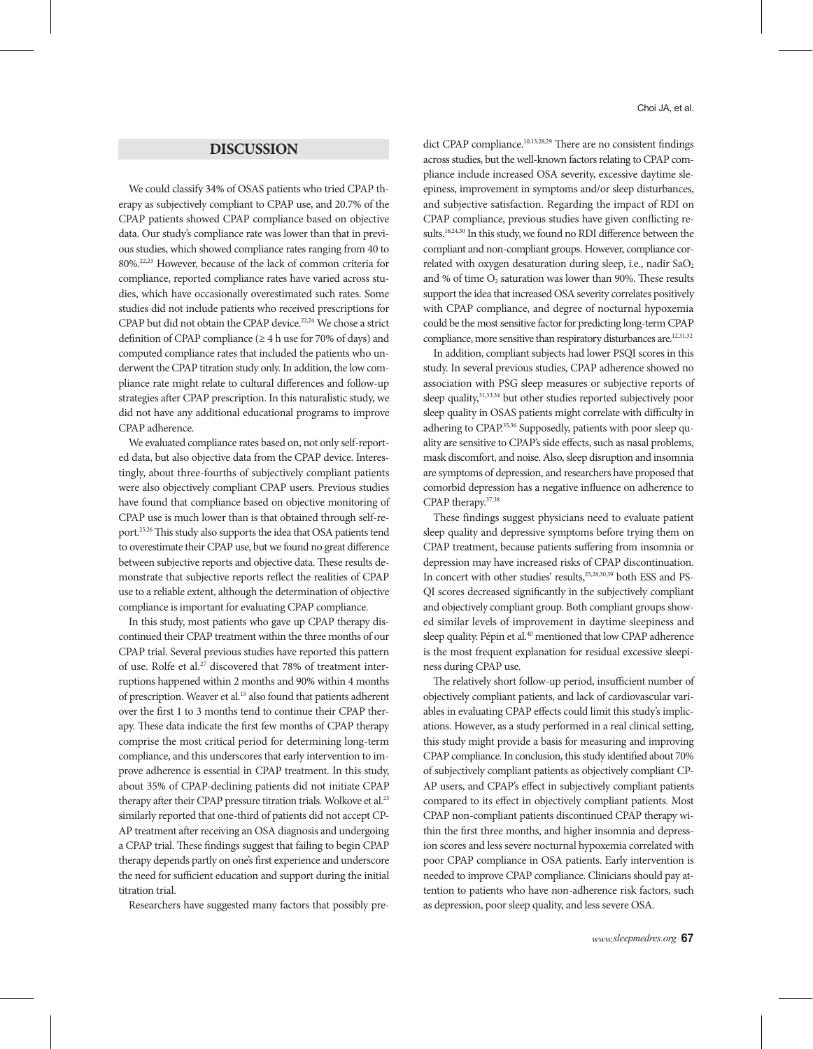# **DISCUSSION**

We could classify 34% of OSAS patients who tried CPAP therapy as subjectively compliant to CPAP use, and 20.7% of the CPAP patients showed CPAP compliance based on objective data. Our study's compliance rate was lower than that in previous studies, which showed compliance rates ranging from 40 to 80%.22,23 However, because of the lack of common criteria for compliance, reported compliance rates have varied across studies, which have occasionally overestimated such rates. Some studies did not include patients who received prescriptions for CPAP but did not obtain the CPAP device.<sup>22,24</sup> We chose a strict definition of CPAP compliance ( $\geq 4$  h use for 70% of days) and computed compliance rates that included the patients who underwent the CPAP titration study only. In addition, the low compliance rate might relate to cultural differences and follow-up strategies after CPAP prescription. In this naturalistic study, we did not have any additional educational programs to improve CPAP adherence.

We evaluated compliance rates based on, not only self-reported data, but also objective data from the CPAP device. Interestingly, about three-fourths of subjectively compliant patients were also objectively compliant CPAP users. Previous studies have found that compliance based on objective monitoring of CPAP use is much lower than is that obtained through self-report.25,26 This study also supports the idea that OSA patients tend to overestimate their CPAP use, but we found no great difference between subjective reports and objective data. These results demonstrate that subjective reports reflect the realities of CPAP use to a reliable extent, although the determination of objective compliance is important for evaluating CPAP compliance.

In this study, most patients who gave up CPAP therapy discontinued their CPAP treatment within the three months of our CPAP trial. Several previous studies have reported this pattern of use. Rolfe et al.<sup>27</sup> discovered that 78% of treatment interruptions happened within 2 months and 90% within 4 months of prescription. Weaver et al.<sup>15</sup> also found that patients adherent over the first 1 to 3 months tend to continue their CPAP therapy. These data indicate the first few months of CPAP therapy comprise the most critical period for determining long-term compliance, and this underscores that early intervention to improve adherence is essential in CPAP treatment. In this study, about 35% of CPAP-declining patients did not initiate CPAP therapy after their CPAP pressure titration trials. Wolkove et al.<sup>23</sup> similarly reported that one-third of patients did not accept CP-AP treatment after receiving an OSA diagnosis and undergoing a CPAP trial. These findings suggest that failing to begin CPAP therapy depends partly on one's first experience and underscore the need for sufficient education and support during the initial titration trial.

Researchers have suggested many factors that possibly pre-

Choi JA, et al.

dict CPAP compliance.<sup>10,13,28,29</sup> There are no consistent findings across studies, but the well-known factors relating to CPAP compliance include increased OSA severity, excessive daytime sleepiness, improvement in symptoms and/or sleep disturbances, and subjective satisfaction. Regarding the impact of RDI on CPAP compliance, previous studies have given conflicting results.16,24,30 In this study, we found no RDI difference between the compliant and non-compliant groups. However, compliance correlated with oxygen desaturation during sleep, i.e., nadir SaO<sub>2</sub> and % of time  $O_2$  saturation was lower than 90%. These results support the idea that increased OSA severity correlates positively with CPAP compliance, and degree of nocturnal hypoxemia could be the most sensitive factor for predicting long-term CPAP compliance, more sensitive than respiratory disturbances are.<sup>12,31,32</sup>

In addition, compliant subjects had lower PSQI scores in this study. In several previous studies, CPAP adherence showed no association with PSG sleep measures or subjective reports of sleep quality,<sup>31,33,34</sup> but other studies reported subjectively poor sleep quality in OSAS patients might correlate with difficulty in adhering to CPAP.<sup>35,36</sup> Supposedly, patients with poor sleep quality are sensitive to CPAP's side effects, such as nasal problems, mask discomfort, and noise. Also, sleep disruption and insomnia are symptoms of depression, and researchers have proposed that comorbid depression has a negative influence on adherence to CPAP therapy.37,38

These findings suggest physicians need to evaluate patient sleep quality and depressive symptoms before trying them on CPAP treatment, because patients suffering from insomnia or depression may have increased risks of CPAP discontinuation. In concert with other studies' results,<sup>25,28,30,39</sup> both ESS and PS-QI scores decreased significantly in the subjectively compliant and objectively compliant group. Both compliant groups showed similar levels of improvement in daytime sleepiness and sleep quality. Pépin et al.<sup>40</sup> mentioned that low CPAP adherence is the most frequent explanation for residual excessive sleepiness during CPAP use.

The relatively short follow-up period, insufficient number of objectively compliant patients, and lack of cardiovascular variables in evaluating CPAP effects could limit this study's implications. However, as a study performed in a real clinical setting, this study might provide a basis for measuring and improving CPAP compliance. In conclusion, this study identified about 70% of subjectively compliant patients as objectively compliant CP-AP users, and CPAP's effect in subjectively compliant patients compared to its effect in objectively compliant patients. Most CPAP non-compliant patients discontinued CPAP therapy within the first three months, and higher insomnia and depression scores and less severe nocturnal hypoxemia correlated with poor CPAP compliance in OSA patients. Early intervention is needed to improve CPAP compliance. Clinicians should pay attention to patients who have non-adherence risk factors, such as depression, poor sleep quality, and less severe OSA.